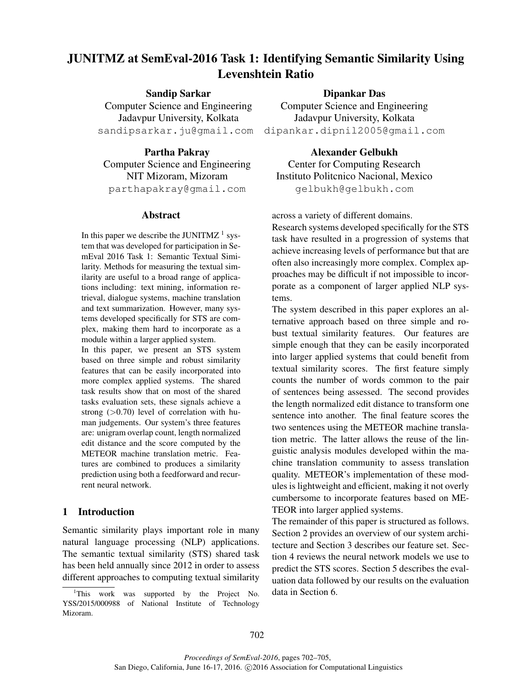# JUNITMZ at SemEval-2016 Task 1: Identifying Semantic Similarity Using Levenshtein Ratio

Sandip Sarkar Computer Science and Engineering Jadavpur University, Kolkata sandipsarkar.ju@gmail.com

Partha Pakray Computer Science and Engineering NIT Mizoram, Mizoram parthapakray@gmail.com

# Abstract

In this paper we describe the JUNITMZ<sup>1</sup> system that was developed for participation in SemEval 2016 Task 1: Semantic Textual Similarity. Methods for measuring the textual similarity are useful to a broad range of applications including: text mining, information retrieval, dialogue systems, machine translation and text summarization. However, many systems developed specifically for STS are complex, making them hard to incorporate as a module within a larger applied system.

In this paper, we present an STS system based on three simple and robust similarity features that can be easily incorporated into more complex applied systems. The shared task results show that on most of the shared tasks evaluation sets, these signals achieve a strong  $(>0.70)$  level of correlation with human judgements. Our system's three features are: unigram overlap count, length normalized edit distance and the score computed by the METEOR machine translation metric. Features are combined to produces a similarity prediction using both a feedforward and recurrent neural network.

## 1 Introduction

Semantic similarity plays important role in many natural language processing (NLP) applications. The semantic textual similarity (STS) shared task has been held annually since 2012 in order to assess different approaches to computing textual similarity

#### Dipankar Das

Computer Science and Engineering Jadavpur University, Kolkata dipankar.dipnil2005@gmail.com

Alexander Gelbukh Center for Computing Research Instituto Politcnico Nacional, Mexico gelbukh@gelbukh.com

across a variety of different domains.

Research systems developed specifically for the STS task have resulted in a progression of systems that achieve increasing levels of performance but that are often also increasingly more complex. Complex approaches may be difficult if not impossible to incorporate as a component of larger applied NLP systems.

The system described in this paper explores an alternative approach based on three simple and robust textual similarity features. Our features are simple enough that they can be easily incorporated into larger applied systems that could benefit from textual similarity scores. The first feature simply counts the number of words common to the pair of sentences being assessed. The second provides the length normalized edit distance to transform one sentence into another. The final feature scores the two sentences using the METEOR machine translation metric. The latter allows the reuse of the linguistic analysis modules developed within the machine translation community to assess translation quality. METEOR's implementation of these modules is lightweight and efficient, making it not overly cumbersome to incorporate features based on ME-TEOR into larger applied systems.

The remainder of this paper is structured as follows. Section 2 provides an overview of our system architecture and Section 3 describes our feature set. Section 4 reviews the neural network models we use to predict the STS scores. Section 5 describes the evaluation data followed by our results on the evaluation data in Section 6.

<sup>&</sup>lt;sup>1</sup>This work was supported by the Project No. YSS/2015/000988 of National Institute of Technology Mizoram.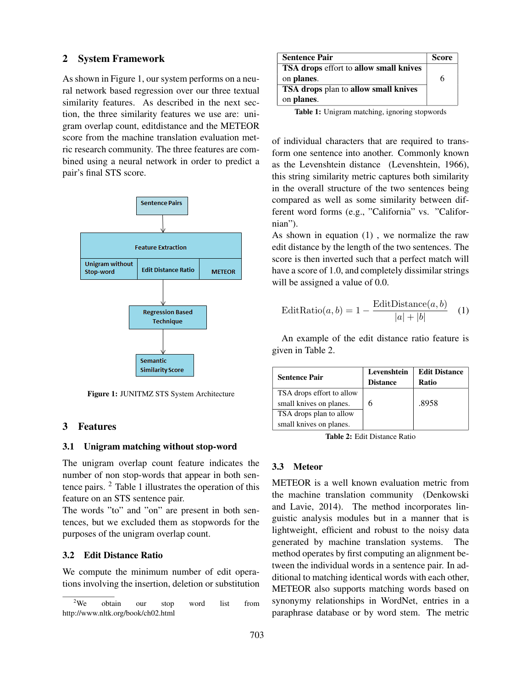# 2 System Framework

As shown in Figure 1, our system performs on a neural network based regression over our three textual similarity features. As described in the next section, the three similarity features we use are: unigram overlap count, editdistance and the METEOR score from the machine translation evaluation metric research community. The three features are combined using a neural network in order to predict a pair's final STS score.



Figure 1: JUNITMZ STS System Architecture

# 3 Features

#### 3.1 Unigram matching without stop-word

The unigram overlap count feature indicates the number of non stop-words that appear in both sentence pairs. <sup>2</sup> Table 1 illustrates the operation of this feature on an STS sentence pair.

The words "to" and "on" are present in both sentences, but we excluded them as stopwords for the purposes of the unigram overlap count.

# 3.2 Edit Distance Ratio

We compute the minimum number of edit operations involving the insertion, deletion or substitution

| <b>Sentence Pair</b>                   | <b>Score</b> |
|----------------------------------------|--------------|
| TSA drops effort to allow small knives |              |
| on planes.                             | 6            |
| TSA drops plan to allow small knives   |              |
| on planes.                             |              |

Table 1: Unigram matching, ignoring stopwords

of individual characters that are required to transform one sentence into another. Commonly known as the Levenshtein distance (Levenshtein, 1966), this string similarity metric captures both similarity in the overall structure of the two sentences being compared as well as some similarity between different word forms (e.g., "California" vs. "Californian").

As shown in equation (1) , we normalize the raw edit distance by the length of the two sentences. The score is then inverted such that a perfect match will have a score of 1.0, and completely dissimilar strings will be assigned a value of 0.0.

$$
EditRatio(a, b) = 1 - \frac{Edit Distance(a, b)}{|a| + |b|}
$$
 (1)

An example of the edit distance ratio feature is given in Table 2.

| <b>Sentence Pair</b>      | Levenshtein     | <b>Edit Distance</b> |
|---------------------------|-----------------|----------------------|
|                           | <b>Distance</b> | Ratio                |
| TSA drops effort to allow |                 |                      |
| small knives on planes.   |                 | .8958                |
| TSA drops plan to allow   |                 |                      |
| small knives on planes.   |                 |                      |

Table 2: Edit Distance Ratio

#### 3.3 Meteor

METEOR is a well known evaluation metric from the machine translation community (Denkowski and Lavie, 2014). The method incorporates linguistic analysis modules but in a manner that is lightweight, efficient and robust to the noisy data generated by machine translation systems. The method operates by first computing an alignment between the individual words in a sentence pair. In additional to matching identical words with each other, METEOR also supports matching words based on synonymy relationships in WordNet, entries in a paraphrase database or by word stem. The metric

<sup>&</sup>lt;sup>2</sup>We obtain our stop word list from http://www.nltk.org/book/ch02.html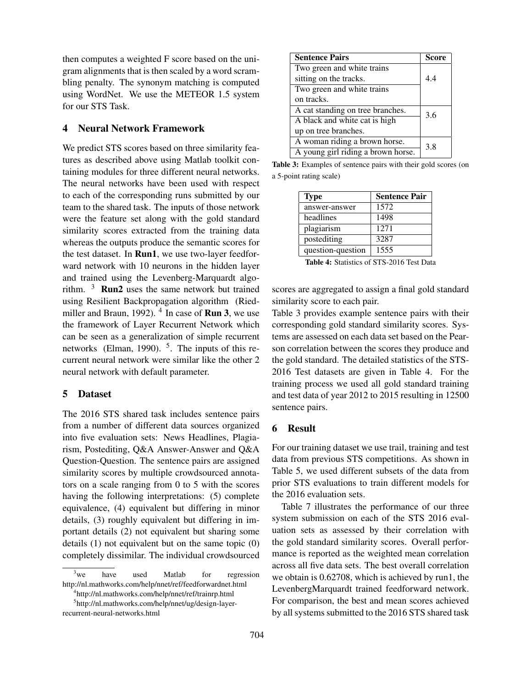then computes a weighted F score based on the unigram alignments that is then scaled by a word scrambling penalty. The synonym matching is computed using WordNet. We use the METEOR 1.5 system for our STS Task.

# 4 Neural Network Framework

We predict STS scores based on three similarity features as described above using Matlab toolkit containing modules for three different neural networks. The neural networks have been used with respect to each of the corresponding runs submitted by our team to the shared task. The inputs of those network were the feature set along with the gold standard similarity scores extracted from the training data whereas the outputs produce the semantic scores for the test dataset. In Run1, we use two-layer feedforward network with 10 neurons in the hidden layer and trained using the Levenberg-Marquardt algorithm. <sup>3</sup> Run2 uses the same network but trained using Resilient Backpropagation algorithm (Riedmiller and Braun, 1992).  $^4$  In case of **Run 3**, we use the framework of Layer Recurrent Network which can be seen as a generalization of simple recurrent networks (Elman, 1990).  $5$ . The inputs of this recurrent neural network were similar like the other 2 neural network with default parameter.

#### 5 Dataset

The 2016 STS shared task includes sentence pairs from a number of different data sources organized into five evaluation sets: News Headlines, Plagiarism, Postediting, Q&A Answer-Answer and Q&A Question-Question. The sentence pairs are assigned similarity scores by multiple crowdsourced annotators on a scale ranging from 0 to 5 with the scores having the following interpretations: (5) complete equivalence, (4) equivalent but differing in minor details, (3) roughly equivalent but differing in important details (2) not equivalent but sharing some details (1) not equivalent but on the same topic (0) completely dissimilar. The individual crowdsourced

4 http://nl.mathworks.com/help/nnet/ref/trainrp.html

| <b>Sentence Pairs</b>              | <b>Score</b> |
|------------------------------------|--------------|
| Two green and white trains         |              |
| sitting on the tracks.             | 44           |
| Two green and white trains         |              |
| on tracks.                         |              |
| A cat standing on tree branches.   | 3.6          |
| A black and white cat is high      |              |
| up on tree branches.               |              |
| A woman riding a brown horse.      | 3.8          |
| A young girl riding a brown horse. |              |

Table 3: Examples of sentence pairs with their gold scores (on a 5-point rating scale)

| <b>Type</b>       | <b>Sentence Pair</b> |
|-------------------|----------------------|
| answer-answer     | 1572                 |
| headlines         | 1498                 |
| plagiarism        | 1271                 |
| postediting       | 3287                 |
| question-question | 1555                 |

Table 4: Statistics of STS-2016 Test Data

scores are aggregated to assign a final gold standard similarity score to each pair.

Table 3 provides example sentence pairs with their corresponding gold standard similarity scores. Systems are assessed on each data set based on the Pearson correlation between the scores they produce and the gold standard. The detailed statistics of the STS-2016 Test datasets are given in Table 4. For the training process we used all gold standard training and test data of year 2012 to 2015 resulting in 12500 sentence pairs.

#### 6 Result

For our training dataset we use trail, training and test data from previous STS competitions. As shown in Table 5, we used different subsets of the data from prior STS evaluations to train different models for the 2016 evaluation sets.

Table 7 illustrates the performance of our three system submission on each of the STS 2016 evaluation sets as assessed by their correlation with the gold standard similarity scores. Overall performance is reported as the weighted mean correlation across all five data sets. The best overall correlation we obtain is 0.62708, which is achieved by run1, the LevenbergMarquardt trained feedforward network. For comparison, the best and mean scores achieved by all systems submitted to the 2016 STS shared task

 $3$ we have used Matlab for regression http://nl.mathworks.com/help/nnet/ref/feedforwardnet.html

<sup>5</sup> http://nl.mathworks.com/help/nnet/ug/design-layerrecurrent-neural-networks.html